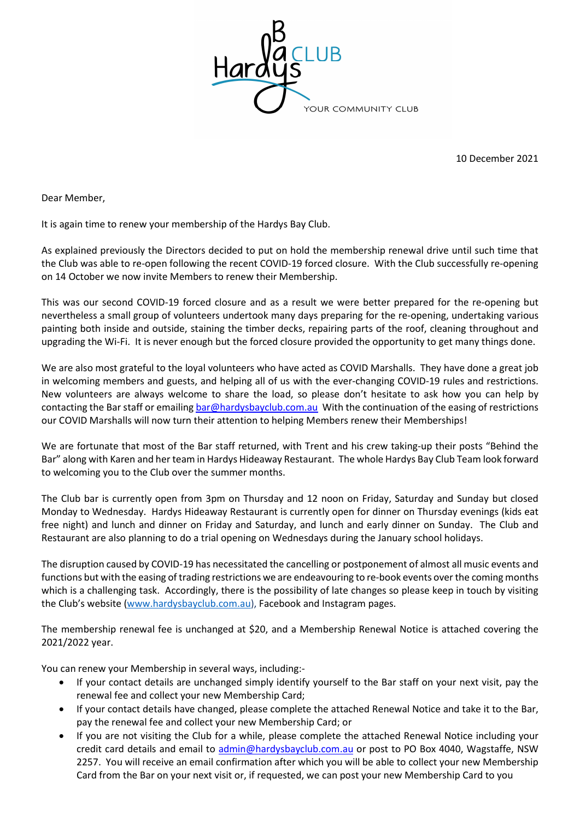

10 December 2021

Dear Member,

It is again time to renew your membership of the Hardys Bay Club.

As explained previously the Directors decided to put on hold the membership renewal drive until such time that the Club was able to re-open following the recent COVID-19 forced closure. With the Club successfully re-opening on 14 October we now invite Members to renew their Membership.

This was our second COVID-19 forced closure and as a result we were better prepared for the re-opening but nevertheless a small group of volunteers undertook many days preparing for the re-opening, undertaking various painting both inside and outside, staining the timber decks, repairing parts of the roof, cleaning throughout and upgrading the Wi-Fi. It is never enough but the forced closure provided the opportunity to get many things done.

We are also most grateful to the loyal volunteers who have acted as COVID Marshalls. They have done a great job in welcoming members and guests, and helping all of us with the ever-changing COVID-19 rules and restrictions. New volunteers are always welcome to share the load, so please don't hesitate to ask how you can help by contacting the Bar staff or emailing bar@hardysbayclub.com.au With the continuation of the easing of restrictions our COVID Marshalls will now turn their attention to helping Members renew their Memberships!

We are fortunate that most of the Bar staff returned, with Trent and his crew taking-up their posts "Behind the Bar" along with Karen and her team in Hardys Hideaway Restaurant. The whole Hardys Bay Club Team look forward to welcoming you to the Club over the summer months.

The Club bar is currently open from 3pm on Thursday and 12 noon on Friday, Saturday and Sunday but closed Monday to Wednesday. Hardys Hideaway Restaurant is currently open for dinner on Thursday evenings (kids eat free night) and lunch and dinner on Friday and Saturday, and lunch and early dinner on Sunday. The Club and Restaurant are also planning to do a trial opening on Wednesdays during the January school holidays.

The disruption caused by COVID-19 has necessitated the cancelling or postponement of almost all music events and functions but with the easing of trading restrictions we are endeavouring to re-book events over the coming months which is a challenging task. Accordingly, there is the possibility of late changes so please keep in touch by visiting the Club's website (www.hardysbayclub.com.au), Facebook and Instagram pages.

The membership renewal fee is unchanged at \$20, and a Membership Renewal Notice is attached covering the 2021/2022 year.

You can renew your Membership in several ways, including:-

- If your contact details are unchanged simply identify yourself to the Bar staff on your next visit, pay the renewal fee and collect your new Membership Card;
- If your contact details have changed, please complete the attached Renewal Notice and take it to the Bar, pay the renewal fee and collect your new Membership Card; or
- If you are not visiting the Club for a while, please complete the attached Renewal Notice including your credit card details and email to admin@hardysbayclub.com.au or post to PO Box 4040, Wagstaffe, NSW 2257. You will receive an email confirmation after which you will be able to collect your new Membership Card from the Bar on your next visit or, if requested, we can post your new Membership Card to you